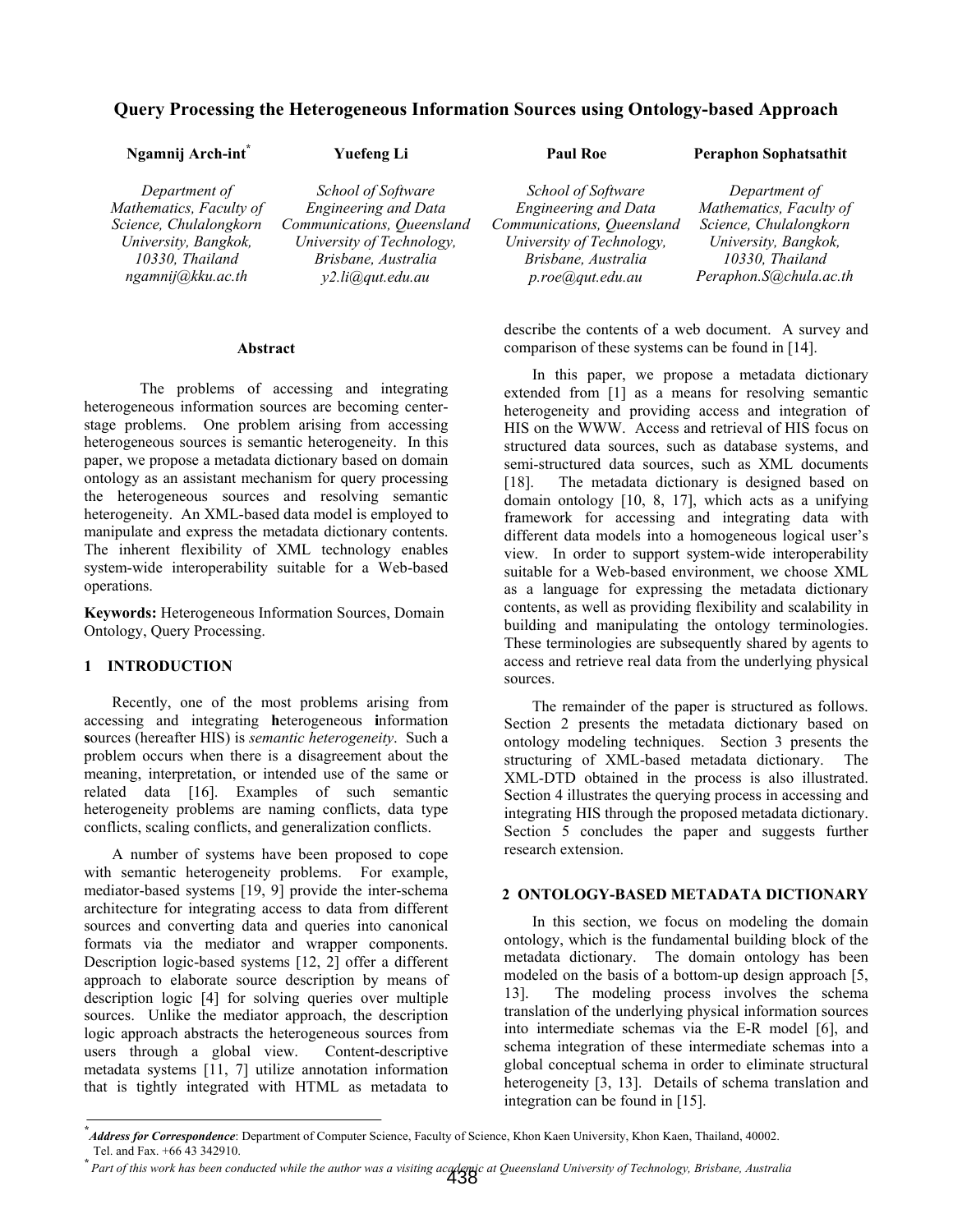# **Query Processing the Heterogeneous Information Sources using Ontology-based Approach**

| Ngamnij Arch-int <sup>*</sup> | <b>Yuefeng Li</b>           | <b>Paul Roe</b>                           | <b>Peraphon Sophatsathit</b> |  |
|-------------------------------|-----------------------------|-------------------------------------------|------------------------------|--|
| Department of                 | School of Software          | School of Software                        | Department of                |  |
| Mathematics, Faculty of       | <b>Engineering and Data</b> | <b>Engineering and Data</b>               | Mathematics, Faculty of      |  |
| Science, Chulalongkorn        | Communications, Queensland  | Communications, Queensland                | Science, Chulalongkorn       |  |
| University, Bangkok,          | University of Technology,   | University of Technology,                 | University, Bangkok,         |  |
| 10330, Thailand               | Brisbane, Australia         | Brisbane, Australia                       | 10330, Thailand              |  |
| ngamnij@kku.ac.th             | y2.li@gut.edu.au            | $p, roe$ ( $\partial$ ) <i>qut.edu.au</i> | Peraphon.S@chula.ac.th       |  |

**Abstract** 

The problems of accessing and integrating heterogeneous information sources are becoming centerstage problems. One problem arising from accessing heterogeneous sources is semantic heterogeneity. In this paper, we propose a metadata dictionary based on domain ontology as an assistant mechanism for query processing the heterogeneous sources and resolving semantic heterogeneity. An XML-based data model is employed to manipulate and express the metadata dictionary contents. The inherent flexibility of XML technology enables system-wide interoperability suitable for a Web-based operations.

**Keywords:** Heterogeneous Information Sources, Domain Ontology, Query Processing.

# **1 INTRODUCTION**

Recently, one of the most problems arising from accessing and integrating **h**eterogeneous **i**nformation **s**ources (hereafter HIS) is *semantic heterogeneity*. Such a problem occurs when there is a disagreement about the meaning, interpretation, or intended use of the same or related data [16]. Examples of such semantic heterogeneity problems are naming conflicts, data type conflicts, scaling conflicts, and generalization conflicts.

A number of systems have been proposed to cope with semantic heterogeneity problems. For example, mediator-based systems [19, 9] provide the inter-schema architecture for integrating access to data from different sources and converting data and queries into canonical formats via the mediator and wrapper components. Description logic-based systems [12, 2] offer a different approach to elaborate source description by means of description logic [4] for solving queries over multiple sources. Unlike the mediator approach, the description logic approach abstracts the heterogeneous sources from users through a global view. Content-descriptive metadata systems [11, 7] utilize annotation information that is tightly integrated with HTML as metadata to

describe the contents of a web document. A survey and comparison of these systems can be found in [14].

In this paper, we propose a metadata dictionary extended from [1] as a means for resolving semantic heterogeneity and providing access and integration of HIS on the WWW. Access and retrieval of HIS focus on structured data sources, such as database systems, and semi-structured data sources, such as XML documents [18]. The metadata dictionary is designed based on domain ontology [10, 8, 17], which acts as a unifying framework for accessing and integrating data with different data models into a homogeneous logical user's view. In order to support system-wide interoperability suitable for a Web-based environment, we choose XML as a language for expressing the metadata dictionary contents, as well as providing flexibility and scalability in building and manipulating the ontology terminologies. These terminologies are subsequently shared by agents to access and retrieve real data from the underlying physical sources.

The remainder of the paper is structured as follows. Section 2 presents the metadata dictionary based on ontology modeling techniques. Section 3 presents the structuring of XML-based metadata dictionary. The XML-DTD obtained in the process is also illustrated. Section 4 illustrates the querying process in accessing and integrating HIS through the proposed metadata dictionary. Section 5 concludes the paper and suggests further research extension.

#### **2 ONTOLOGY-BASED METADATA DICTIONARY**

In this section, we focus on modeling the domain ontology, which is the fundamental building block of the metadata dictionary. The domain ontology has been modeled on the basis of a bottom-up design approach [5, 13]. The modeling process involves the schema translation of the underlying physical information sources into intermediate schemas via the E-R model [6], and schema integration of these intermediate schemas into a global conceptual schema in order to eliminate structural heterogeneity [3, 13]. Details of schema translation and integration can be found in [15].

**<sup>\*</sup>** *Address for Correspondence*: Department of Computer Science, Faculty of Science, Khon Kaen University, Khon Kaen, Thailand, 40002. Tel. and Fax. +66 43 342910.

**<sup>\*</sup>** *Part of this work has been conducted while the author was a visiting academic at Queensland University of Technology, Brisbane, Australia* 438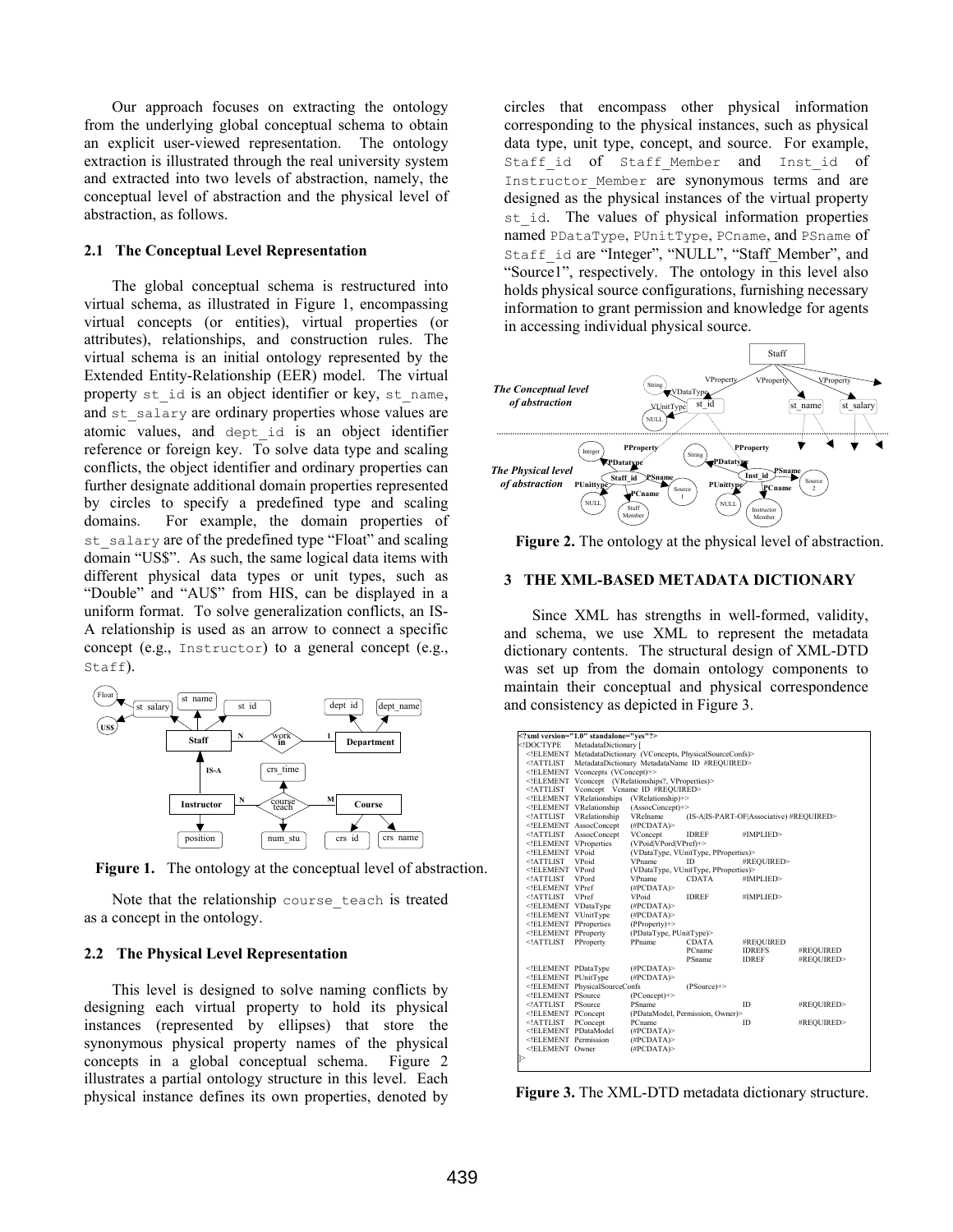Our approach focuses on extracting the ontology from the underlying global conceptual schema to obtain an explicit user-viewed representation. The ontology extraction is illustrated through the real university system and extracted into two levels of abstraction, namely, the conceptual level of abstraction and the physical level of abstraction, as follows.

#### **2.1 The Conceptual Level Representation**

The global conceptual schema is restructured into virtual schema, as illustrated in Figure 1, encompassing virtual concepts (or entities), virtual properties (or attributes), relationships, and construction rules. The virtual schema is an initial ontology represented by the Extended Entity-Relationship (EER) model. The virtual property st id is an object identifier or key, st\_name, and st salary are ordinary properties whose values are atomic values, and dept\_id is an object identifier reference or foreign key. To solve data type and scaling conflicts, the object identifier and ordinary properties can further designate additional domain properties represented by circles to specify a predefined type and scaling domains. For example, the domain properties of st salary are of the predefined type "Float" and scaling domain "US\$". As such, the same logical data items with different physical data types or unit types, such as "Double" and "AU\$" from HIS, can be displayed in a uniform format. To solve generalization conflicts, an IS-A relationship is used as an arrow to connect a specific concept (e.g., Instructor) to a general concept (e.g., Staff).



**Figure 1.** The ontology at the conceptual level of abstraction.

Note that the relationship course teach is treated as a concept in the ontology.

#### **2.2 The Physical Level Representation**

This level is designed to solve naming conflicts by designing each virtual property to hold its physical instances (represented by ellipses) that store the synonymous physical property names of the physical concepts in a global conceptual schema. Figure 2 illustrates a partial ontology structure in this level. Each physical instance defines its own properties, denoted by circles that encompass other physical information corresponding to the physical instances, such as physical data type, unit type, concept, and source. For example, Staff id of Staff Member and Inst id of Instructor Member are synonymous terms and are designed as the physical instances of the virtual property st id. The values of physical information properties named PDataType, PUnitType, PCname, and PSname of Staff\_id are "Integer", "NULL", "Staff\_Member", and "Source1", respectively. The ontology in this level also holds physical source configurations, furnishing necessary information to grant permission and knowledge for agents in accessing individual physical source.



**Figure 2.** The ontology at the physical level of abstraction.

#### **3 THE XML-BASED METADATA DICTIONARY**

Since XML has strengths in well-formed, validity, and schema, we use XML to represent the metadata dictionary contents. The structural design of XML-DTD was set up from the domain ontology components to maintain their conceptual and physical correspondence and consistency as depicted in Figure 3.

| xml version="1.0" standalone="ves"?                                                                              |                                                                                                    |                                                      |                                  |               |            |  |  |
|------------------------------------------------------------------------------------------------------------------|----------------------------------------------------------------------------------------------------|------------------------------------------------------|----------------------------------|---------------|------------|--|--|
| /th <th colspan="7">MetadataDictionary [</th>                                                                    | MetadataDictionary [                                                                               |                                                      |                                  |               |            |  |  |
|                                                                                                                  | ELEMENT MetadataDictionary (VConcepts, PhysicalSourceConfs)                                        |                                                      |                                  |               |            |  |  |
|                                                                                                                  | ATTLIST MetadataDictionary MetadataName ID #REQUIRED                                               |                                                      |                                  |               |            |  |  |
|                                                                                                                  | ELEMENT Vconcepts (VConcept)+                                                                      |                                                      |                                  |               |            |  |  |
|                                                                                                                  | ELEMENT Vconcept (VRelationships?, VProperties)                                                    |                                                      |                                  |               |            |  |  |
| ATTLIST</th <th colspan="6">Vconcept Vcname ID #REOUIRED&gt;</th>                                                | Vconcept Vcname ID #REOUIRED>                                                                      |                                                      |                                  |               |            |  |  |
|                                                                                                                  | (VRelationship)+><br>ELEMENT VRelationships</th                                                    |                                                      |                                  |               |            |  |  |
|                                                                                                                  | ELEMENT VRelationship<br $(AssociConcept) \rightarrow$                                             |                                                      |                                  |               |            |  |  |
| ATTLIST</th <th>VRelationship</th> <th colspan="4">VRelname<br/>(IS-A IS-PART-OF Associative) #REQUIRED&gt;</th> | VRelationship                                                                                      | VRelname<br>(IS-A IS-PART-OF Associative) #REQUIRED> |                                  |               |            |  |  |
|                                                                                                                  | ELEMENT AssocConcept</th <th>(HPCDATA)</th> <th></th> <th></th> <th></th>                          | (HPCDATA)                                            |                                  |               |            |  |  |
| ATTLIST</th <th>AssocConcept</th> <th>VConcept</th> <th><b>IDREF</b></th> <th>#IMPLIED&gt;</th> <th></th>        | AssocConcept                                                                                       | VConcept                                             | <b>IDREF</b>                     | #IMPLIED>     |            |  |  |
| ELEMENT VProperties</th <th colspan="5">(VPoid VPord VPref)+&gt;</th>                                            | (VPoid VPord VPref)+>                                                                              |                                                      |                                  |               |            |  |  |
| ELEMENT VPoid</th <th></th> <th colspan="4">(VDataType, VUnitType, PProperties)&gt;</th>                         |                                                                                                    | (VDataType, VUnitType, PProperties)>                 |                                  |               |            |  |  |
| ATTLIST</th <th>VPoid</th> <th><b>VPname</b></th> <th>ID</th> <th>#REQUIRED&gt;</th> <th></th>                   | VPoid                                                                                              | <b>VPname</b>                                        | ID                               | #REQUIRED>    |            |  |  |
| ELEMENT_VPord</th <th colspan="5">(VDataType, VUnitType, PProperties)&gt;</th>                                   | (VDataType, VUnitType, PProperties)>                                                               |                                                      |                                  |               |            |  |  |
| ATTLIST</th <th><b>VPord</b></th> <th>VPname</th> <th><b>CDATA</b></th> <th>#IMPLIED&gt;</th> <th></th>          | <b>VPord</b>                                                                                       | VPname                                               | <b>CDATA</b>                     | #IMPLIED>     |            |  |  |
| ELEMENT VPref</th <th></th> <th>(HPCDATA)</th> <th></th> <th></th> <th></th>                                     |                                                                                                    | (HPCDATA)                                            |                                  |               |            |  |  |
| ATTLIST</th <th><b>VPref</b></th> <th>VPoid</th> <th><b>IDREF</b></th> <th>#IMPLIED&gt;</th> <th></th>           | <b>VPref</b>                                                                                       | VPoid                                                | <b>IDREF</b>                     | #IMPLIED>     |            |  |  |
| ELEMENT VDataType</th <th></th> <th>(HPCDATA)</th> <th></th> <th></th> <th></th>                                 |                                                                                                    | (HPCDATA)                                            |                                  |               |            |  |  |
| ELEMENT VUnitType</th <th></th> <th>(HPCDATA)</th> <th></th> <th></th> <th></th>                                 |                                                                                                    | (HPCDATA)                                            |                                  |               |            |  |  |
| ELEMENT PProperties</th <th></th> <th><math>(PProperty+)</math></th> <th></th> <th></th> <th></th>               |                                                                                                    | $(PProperty+)$                                       |                                  |               |            |  |  |
| ELEMENT PProperty</th <th></th> <th colspan="3">(PDataType, PUnitType)&gt;</th>                                  |                                                                                                    | (PDataType, PUnitType)>                              |                                  |               |            |  |  |
| ATTLIST</th <th>PProperty</th> <th>PPname</th> <th><b>CDATA</b></th> <th>#REQUIRED</th> <th></th>                | PProperty                                                                                          | PPname                                               | <b>CDATA</b>                     | #REQUIRED     |            |  |  |
|                                                                                                                  |                                                                                                    |                                                      | <b>PCname</b>                    | <b>IDREFS</b> | #REQUIRED  |  |  |
|                                                                                                                  |                                                                                                    |                                                      | <b>PSname</b>                    | <b>IDREF</b>  | #REQUIRED> |  |  |
| ELEMENT PDataType</th <th></th> <th>(HPCDATA)</th> <th></th> <th></th> <th></th>                                 |                                                                                                    | (HPCDATA)                                            |                                  |               |            |  |  |
| ELEMENT PUnitType</th <th></th> <th>(#PCDATA)&gt;</th> <th></th> <th></th> <th></th>                             |                                                                                                    | (#PCDATA)>                                           |                                  |               |            |  |  |
|                                                                                                                  | ELEMENT PhysicalSourceConfs</th <th></th> <th><math>(PSource)</math>+&gt;</th> <th></th> <th></th> |                                                      | $(PSource)$ +>                   |               |            |  |  |
| ELEMENT PSource</th <th></th> <th><math>(PConcept)</math><sup>+&gt;</sup></th> <th></th> <th></th> <th></th>     |                                                                                                    | $(PConcept)$ <sup>+&gt;</sup>                        |                                  |               |            |  |  |
| ATTLIST</th <th><b>PSource</b></th> <th>PSname</th> <th></th> <th>ID</th> <th>#REQUIRED&gt;</th>                 | <b>PSource</b>                                                                                     | PSname                                               |                                  | ID            | #REQUIRED> |  |  |
| ELEMENT PConcept</th <th></th> <th></th> <th>(PDataModel, Permission, Owner)&gt;</th> <th></th> <th></th>        |                                                                                                    |                                                      | (PDataModel, Permission, Owner)> |               |            |  |  |
| ATTLIST</th <th>PConcept</th> <th>PCname</th> <th></th> <th>ID</th> <th>#REQUIRED&gt;</th>                       | PConcept                                                                                           | PCname                                               |                                  | ID            | #REQUIRED> |  |  |
| ELEMENT PDataModel</th <th></th> <th>(HPCDATA)</th> <th></th> <th></th> <th></th>                                |                                                                                                    | (HPCDATA)                                            |                                  |               |            |  |  |
| ELEMENT Permission</th <th></th> <th>(HPCDATA)</th> <th></th> <th></th> <th></th>                                |                                                                                                    | (HPCDATA)                                            |                                  |               |            |  |  |
| ELEMENT Owner</th <th></th> <th>(HPCDATA)</th> <th></th> <th></th> <th></th>                                     |                                                                                                    | (HPCDATA)                                            |                                  |               |            |  |  |
| ∥>                                                                                                               |                                                                                                    |                                                      |                                  |               |            |  |  |

**Figure 3.** The XML-DTD metadata dictionary structure.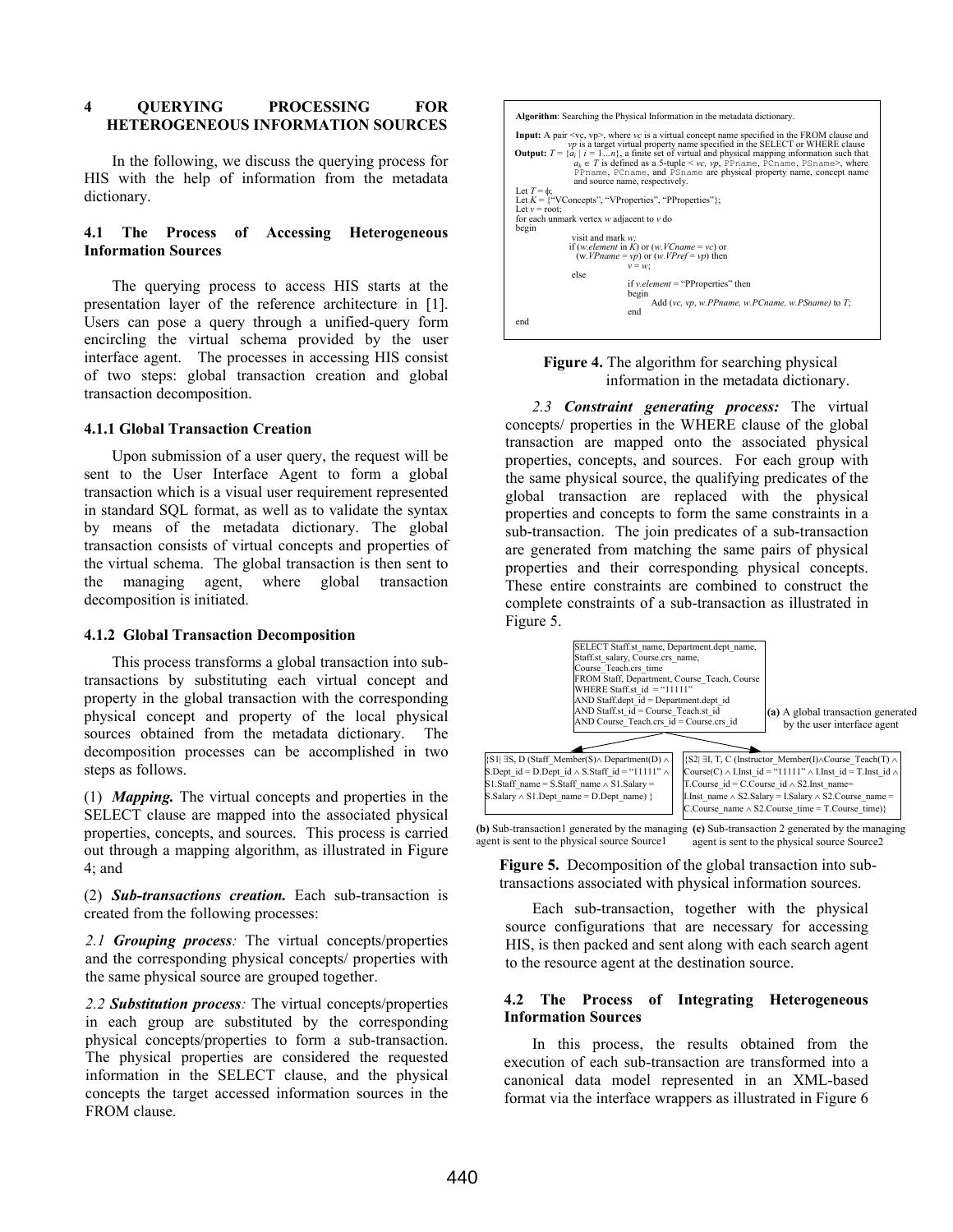# **4 QUERYING PROCESSING FOR HETEROGENEOUS INFORMATION SOURCES**

In the following, we discuss the querying process for HIS with the help of information from the metadata dictionary.

### **4.1 The Process of Accessing Heterogeneous Information Sources**

The querying process to access HIS starts at the presentation layer of the reference architecture in [1]. Users can pose a query through a unified-query form encircling the virtual schema provided by the user interface agent. The processes in accessing HIS consist of two steps: global transaction creation and global transaction decomposition.

### **4.1.1 Global Transaction Creation**

Upon submission of a user query, the request will be sent to the User Interface Agent to form a global transaction which is a visual user requirement represented in standard SQL format, as well as to validate the syntax by means of the metadata dictionary. The global transaction consists of virtual concepts and properties of the virtual schema. The global transaction is then sent to the managing agent, where global transaction decomposition is initiated.

#### **4.1.2 Global Transaction Decomposition**

This process transforms a global transaction into subtransactions by substituting each virtual concept and property in the global transaction with the corresponding physical concept and property of the local physical sources obtained from the metadata dictionary. The decomposition processes can be accomplished in two steps as follows.

(1) *Mapping.* The virtual concepts and properties in the SELECT clause are mapped into the associated physical properties, concepts, and sources. This process is carried out through a mapping algorithm, as illustrated in Figure 4; and

(2) *Sub-transactions creation.* Each sub-transaction is created from the following processes:

*2.1 Grouping process:* The virtual concepts/properties and the corresponding physical concepts/ properties with the same physical source are grouped together.

*2.2 Substitution process:* The virtual concepts/properties in each group are substituted by the corresponding physical concepts/properties to form a sub-transaction. The physical properties are considered the requested information in the SELECT clause, and the physical concepts the target accessed information sources in the FROM clause.



# **Figure 4.** The algorithm for searching physical information in the metadata dictionary.

*2.3 Constraint generating process:* The virtual concepts/ properties in the WHERE clause of the global transaction are mapped onto the associated physical properties, concepts, and sources. For each group with the same physical source, the qualifying predicates of the global transaction are replaced with the physical properties and concepts to form the same constraints in a sub-transaction. The join predicates of a sub-transaction are generated from matching the same pairs of physical properties and their corresponding physical concepts. These entire constraints are combined to construct the complete constraints of a sub-transaction as illustrated in Figure 5.



**(b)** Sub-transaction1 generated by the managing **(c)** Sub-transaction 2 generated by the managing agent is sent to the physical source Source1 agent is sent to the physical source Source2

**Figure 5.** Decomposition of the global transaction into subtransactions associated with physical information sources.

Each sub-transaction, together with the physical source configurations that are necessary for accessing HIS, is then packed and sent along with each search agent to the resource agent at the destination source.

### **4.2 The Process of Integrating Heterogeneous Information Sources**

In this process, the results obtained from the execution of each sub-transaction are transformed into a canonical data model represented in an XML-based format via the interface wrappers as illustrated in Figure 6